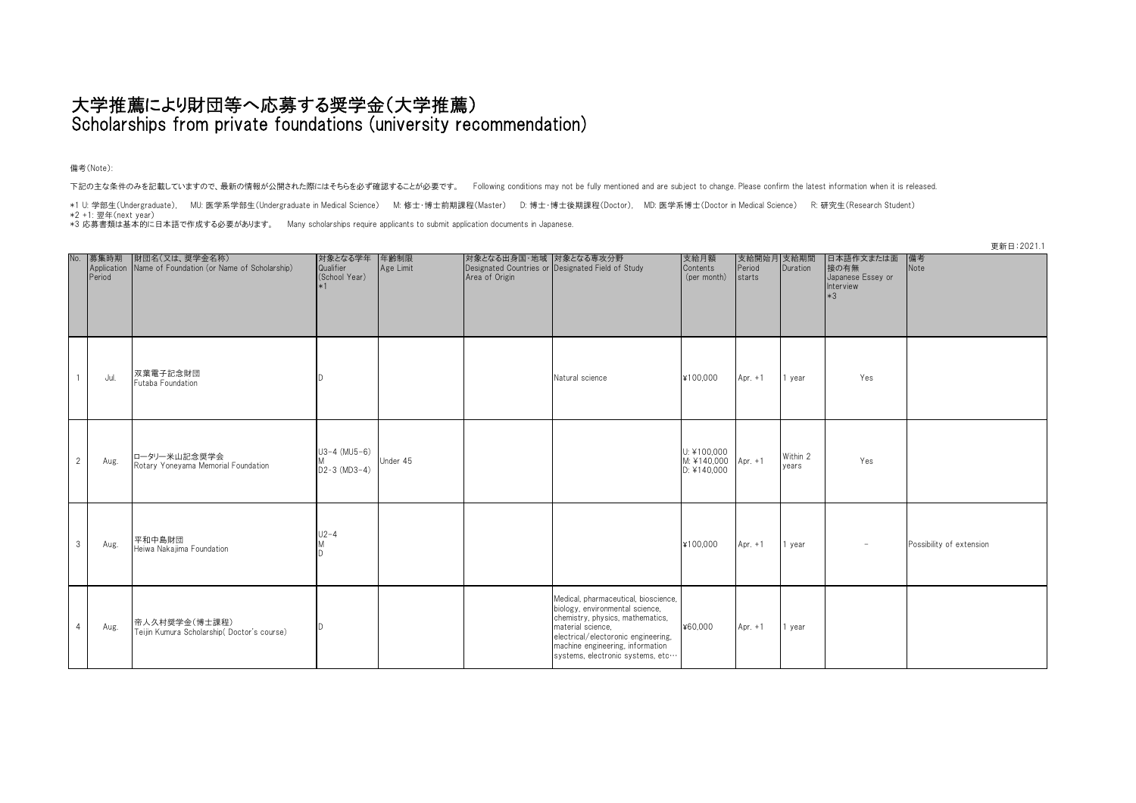## 大学推薦により財団等へ応募する奨学金(大学推薦) Scholarships from private foundations (university recommendation)

備考(Note):

下記の主な条件のみを記載していますので、最新の情報が公開された際にはそちらを必ず確認することが必要です。 Following conditions may not be fully mentioned and are subject to change. Please confirm the latest information when it is released.

\*1 U: 学部生(Undergraduate), MU: 医学系学部生(Undergraduate in Medical Science) M: 修士・博士前期課程(Master) D: 博士・博士後期課程(Doctor), MD: 医学系博士(Doctor in Medical Science) R: 研究生(Research Student)

\*2 +1: 翌年(next year)

\*3 応募書類は基本的に日本語で作成する必要があります。 Many scholarships require applicants to submit application documents in Japanese.

| No.            | Period | 募集時期   財団名(又は、奨学金名称)<br>Application   Name of Foundation (or Name of Scholarship) | 対象となる学年<br>Qualifier<br>(School Year)<br>$*1$ | 年齢制限<br>Age Limit | 対象となる出身国·地域 対象となる専攻分野<br>Area of Origin | Designated Countries or Designated Field of Study                                                                                                                                                                                               | 支給月額<br>Contents<br>(per month)                   | 支給開始月 支給期間<br>Period Duration<br>starts |                   | 日本語作文または面<br>接の有無<br>Japanese Essey or<br>Interview<br>$*3$ | -----------<br>備考<br>Note |
|----------------|--------|-----------------------------------------------------------------------------------|-----------------------------------------------|-------------------|-----------------------------------------|-------------------------------------------------------------------------------------------------------------------------------------------------------------------------------------------------------------------------------------------------|---------------------------------------------------|-----------------------------------------|-------------------|-------------------------------------------------------------|---------------------------|
|                | Jul.   | 双葉電子記念財団<br>Futaba Foundation                                                     |                                               |                   |                                         | Natural science                                                                                                                                                                                                                                 | ¥100,000                                          | Apr. $+1$                               | 1 year            | Yes                                                         |                           |
| $\overline{2}$ | Aug.   | ロータリー米山記念奨学会<br>Rotary Yoneyama Memorial Foundation                               | $U3-4$ (MU5-6)<br>$D2-3 (MD3-4)$              | Under 45          |                                         |                                                                                                                                                                                                                                                 | U: ¥100,000<br>M: ¥140,000 Apr. +1<br>D: 4140.000 |                                         | Within 2<br>vears | Yes                                                         |                           |
| 3              | Aug.   | 平和中島財団<br>Heiwa Nakajima Foundation                                               | $U2 - 4$                                      |                   |                                         |                                                                                                                                                                                                                                                 | ¥100,000                                          | Apr. $+1$                               | 1 year            | $\overline{\phantom{a}}$                                    | Possibility of extension  |
| $\overline{4}$ | Aug.   | 帝人久村奨学金(博士課程)<br>Teijin Kumura Scholarship (Doctor's course)                      |                                               |                   |                                         | Medical, pharmaceutical, bioscience,<br>biology, environmental science,<br>chemistry, physics, mathematics,<br>material science,<br>electrical/electoronic engineering,<br>machine engineering, information<br>systems, electronic systems, etc | ¥60,000                                           | Apr. $+1$                               | 1 year            |                                                             |                           |

更新日:2021.1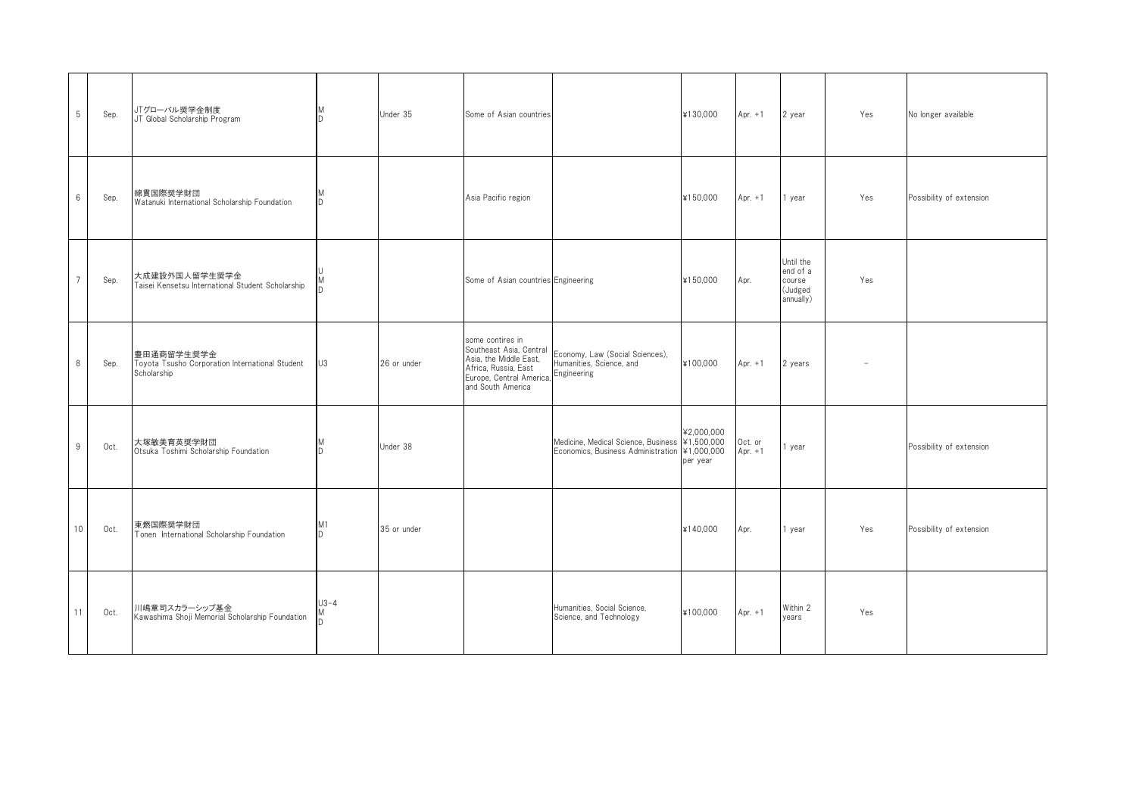| 5              | Sep. | JTグローバル奨学金制度<br>JT Global Scholarship Program                                | M<br><sup>D</sup> | Under 35    | Some of Asian countries                                                                                                                        |                                                                                                 | ¥130,000               | Apr. $+1$            | 2 year                                                  | Yes | No longer available      |
|----------------|------|------------------------------------------------------------------------------|-------------------|-------------|------------------------------------------------------------------------------------------------------------------------------------------------|-------------------------------------------------------------------------------------------------|------------------------|----------------------|---------------------------------------------------------|-----|--------------------------|
| 6              | Sep. | 綿貫国際奨学財団<br>Watanuki International Scholarship Foundation                    | D                 |             | Asia Pacific region                                                                                                                            |                                                                                                 | ¥150,000               | Apr. $+1$            | 1 year                                                  | Yes | Possibility of extension |
| $\overline{7}$ | Sep. | 大成建設外国人留学生奨学金<br>Taisei Kensetsu International Student Scholarship           |                   |             | Some of Asian countries Engineering                                                                                                            |                                                                                                 | ¥150.000               | Apr.                 | Until the<br>end of a<br>course<br>(Judged<br>annually) | Yes |                          |
| 8              | Sep. | 豊田通商留学生奨学金<br>Toyota Tsusho Corporation International Student<br>Scholarship | U3                | 26 or under | some contires in<br>Southeast Asia, Central<br>Asia, the Middle East,<br>Africa, Russia, East<br>Europe, Central America,<br>and South America | Economy, Law (Social Sciences),<br>Humanities, Science, and<br>Engineering                      | ¥100,000               | Apr. $+1$            | 2 years                                                 |     |                          |
| 9              | Oct. | 大塚敏美育英奨学財団<br>Otsuka Toshimi Scholarship Foundation                          | n.                | Under 38    |                                                                                                                                                | Medicine, Medical Science, Business ¥1,500,000<br>Economics, Business Administration ¥1,000,000 | ¥2,000,000<br>per year | Oct. or<br>Apr. $+1$ | 1 year                                                  |     | Possibility of extension |
| 10             | Oct. | 東燃国際奨学財団<br>Tonen International Scholarship Foundation                       | M1<br>n.          | 35 or under |                                                                                                                                                |                                                                                                 | ¥140,000               | Apr.                 | 1 year                                                  | Yes | Possibility of extension |
| 11             | Oct. | 川嶋章司スカラーシップ基金<br>Kawashima Shoji Memorial Scholarship Foundation             | $U3 - 4$          |             |                                                                                                                                                | Humanities, Social Science,<br>Science, and Technology                                          | ¥100,000               | Apr. $+1$            | Within 2<br>vears                                       | Yes |                          |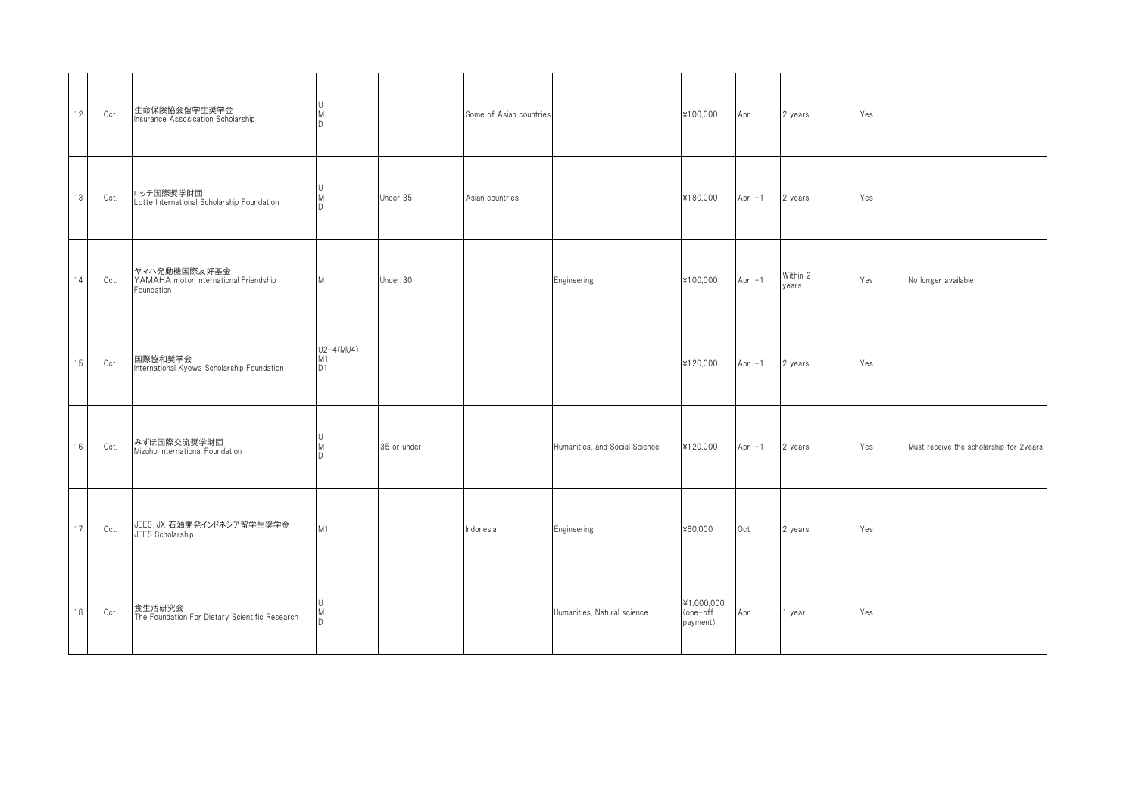| 12 | Oct. | 生命保険協会留学生奨学金<br>Insurance Assosication Scholarship                  | M<br>D                              |             | Some of Asian countries |                                | ¥100,000                           | Apr.      | 2 years           | Yes |                                         |
|----|------|---------------------------------------------------------------------|-------------------------------------|-------------|-------------------------|--------------------------------|------------------------------------|-----------|-------------------|-----|-----------------------------------------|
| 13 | Oct. | ロッテ国際奨学財団<br>Lotte International Scholarship Foundation             | M                                   | Under 35    | Asian countries         |                                | ¥180,000                           | Apr. $+1$ | 2 years           | Yes |                                         |
| 14 | Oct. | ヤマハ発動機国際友好基金<br>YAMAHA motor International Friendship<br>Foundation | M                                   | Under 30    |                         | Engineering                    | ¥100,000                           | Apr. $+1$ | Within 2<br>years | Yes | No longer available                     |
| 15 | Oct. | 国際協和奨学会<br>International Kyowa Scholarship Foundation               | $U2-4(MU4)$<br>M1<br>D <sub>1</sub> |             |                         |                                | ¥120,000                           | Apr. $+1$ | 2 years           | Yes |                                         |
| 16 | Oct. | みずほ国際交流奨学財団<br>Mizuho International Foundation                      | M                                   | 35 or under |                         | Humanities, and Social Science | ¥120,000                           | Apr. $+1$ | 2 years           | Yes | Must receive the scholarship for 2years |
| 17 | Oct. | JEES・JX 石油開発インドネシア留学生奨学金<br>JEES Scholarship                        | M1                                  |             | Indonesia               | Engineering                    | ¥60,000                            | Oct.      | 2 years           | Yes |                                         |
| 18 | Oct. | 食生活研究会<br>The Foundation For Dietary Scientific Research            | ID.                                 |             |                         | Humanities, Natural science    | ¥1.000,000<br>(one-off<br>payment) | Apr.      | 1 year            | Yes |                                         |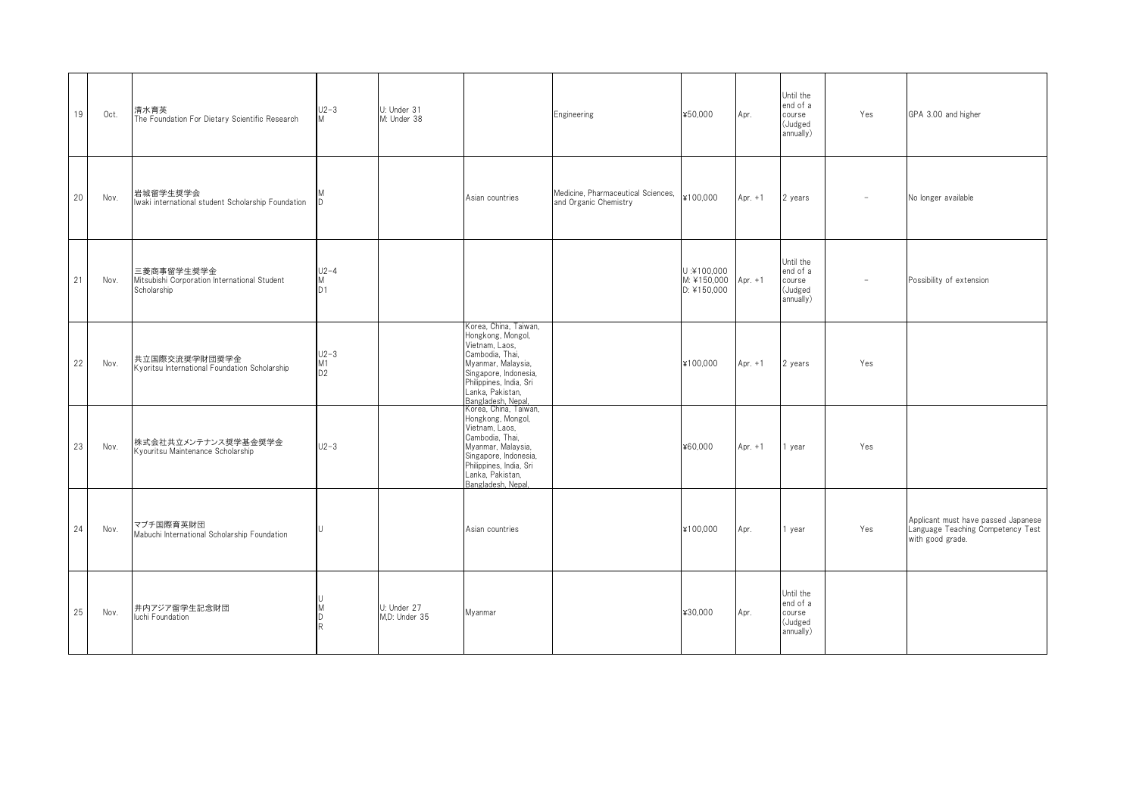| 19 | Oct. | 清水育英<br>The Foundation For Dietary Scientific Research                    | $U2-3$<br>M                                 | U: Under 31<br>M: Under 38   |                                                                                                                                                                                                                              | Engineering                                                 | ¥50,000                                  | Apr.      | Until the<br>end of a<br>course<br>(Judged<br>annually) | Yes                      | GPA 3.00 and higher                                                                          |
|----|------|---------------------------------------------------------------------------|---------------------------------------------|------------------------------|------------------------------------------------------------------------------------------------------------------------------------------------------------------------------------------------------------------------------|-------------------------------------------------------------|------------------------------------------|-----------|---------------------------------------------------------|--------------------------|----------------------------------------------------------------------------------------------|
| 20 | Nov. | 岩城留学生奨学会<br>Iwaki international student Scholarship Foundation            | ID                                          |                              | Asian countries                                                                                                                                                                                                              | Medicine, Pharmaceutical Sciences,<br>and Organic Chemistry | ¥100,000                                 | Apr. $+1$ | 2 years                                                 |                          | No longer available                                                                          |
| 21 | Nov. | 三菱商事留学生奨学金<br>Mitsubishi Corporation International Student<br>Scholarship | $U2-4$<br>M<br>D1                           |                              |                                                                                                                                                                                                                              |                                                             | U:¥100,000<br>M: ¥150,000<br>D: ¥150,000 | Apr. $+1$ | Until the<br>end of a<br>course<br>(Judged<br>annually) | $\overline{\phantom{a}}$ | Possibility of extension                                                                     |
| 22 | Nov. | 共立国際交流奨学財団奨学金<br>Kyoritsu International Foundation Scholarship            | $U2-3$<br>M <sub>1</sub><br>$\overline{D2}$ |                              | Korea, China, Taiwan,<br>Hongkong, Mongol,<br>Vietnam, Laos,<br>Cambodia, Thai.<br>Myanmar, Malaysia,<br>Singapore, Indonesia,<br>Philippines, India, Sri<br>Lanka, Pakistan,<br>Bangladesh, Nepal,<br>Korea, China, Taiwan, |                                                             | ¥100.000                                 | Apr. $+1$ | 2 years                                                 | Yes                      |                                                                                              |
| 23 | Nov. | 株式会社共立メンテナンス奨学基金奨学金<br>Kyouritsu Maintenance Scholarship                  | $U2-3$                                      |                              | Hongkong, Mongol,<br>Vietnam, Laos,<br>Cambodia, Thai,<br>Myanmar, Malaysia,<br>Singapore, Indonesia,<br>Philippines, India, Sri<br>Lanka, Pakistan,<br>Bangladesh, Nepal.                                                   |                                                             | ¥60,000                                  | Apr. $+1$ | 1 year                                                  | Yes                      |                                                                                              |
| 24 | Nov. | マブチ国際育英財団<br>Mabuchi International Scholarship Foundation                 |                                             |                              | Asian countries                                                                                                                                                                                                              |                                                             | ¥100,000                                 | Apr.      | 1 year                                                  | Yes                      | Applicant must have passed Japanese<br>Language Teaching Competency Test<br>with good grade. |
| 25 | Nov. | 井内アジア留学生記念財団<br>luchi Foundation                                          |                                             | U: Under 27<br>M.D: Under 35 | Myanmar                                                                                                                                                                                                                      |                                                             | ¥30,000                                  | Apr.      | Until the<br>end of a<br>course<br>(Judged<br>annually) |                          |                                                                                              |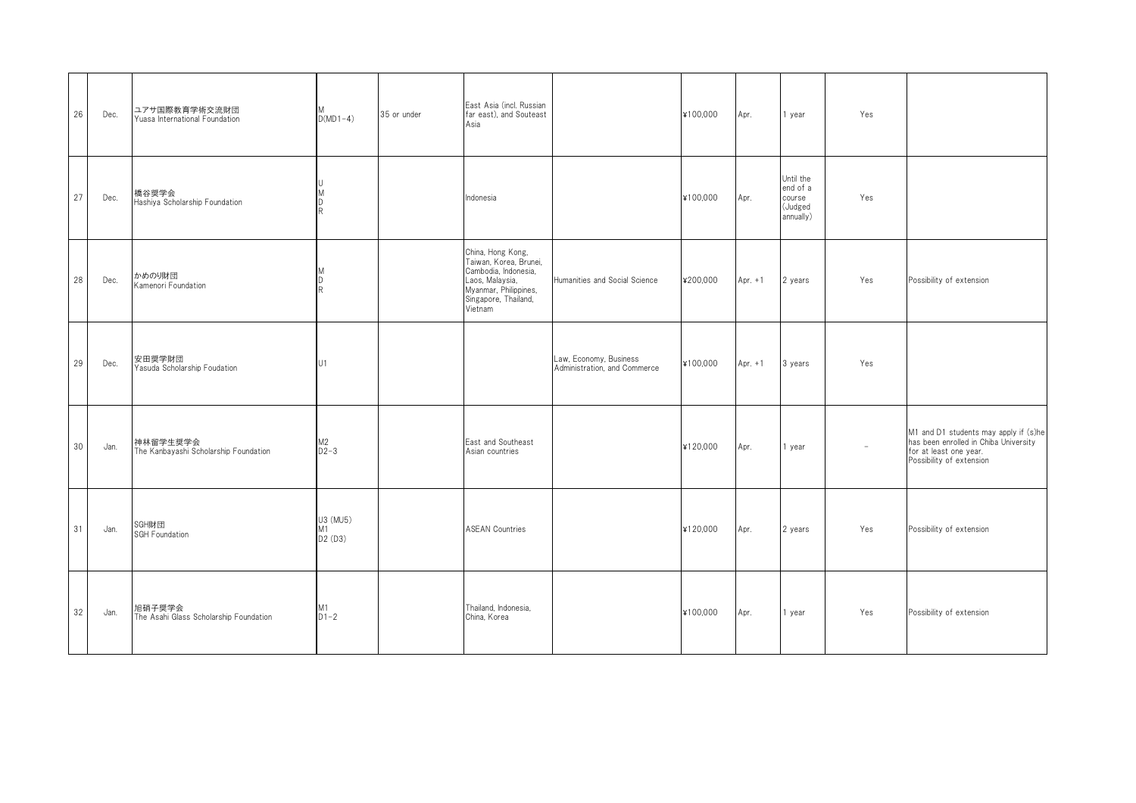| 26 | Dec. | ユアサ国際教育学術交流財団<br>Yuasa International Foundation   | $D(MD1-4)$                | 35 or under | East Asia (incl. Russian<br>far east), and Souteast<br>Asia                                                                                        |                                                        | ¥100,000 | Apr.      | 1 year                                                  | Yes                      |                                                                                                                                      |
|----|------|---------------------------------------------------|---------------------------|-------------|----------------------------------------------------------------------------------------------------------------------------------------------------|--------------------------------------------------------|----------|-----------|---------------------------------------------------------|--------------------------|--------------------------------------------------------------------------------------------------------------------------------------|
| 27 | Dec. | 橋谷奨学会<br>Hashiya Scholarship Foundation           | U<br>M<br>D<br>R.         |             | Indonesia                                                                                                                                          |                                                        | ¥100,000 | Apr.      | Until the<br>end of a<br>course<br>(Judged<br>annually) | Yes                      |                                                                                                                                      |
| 28 | Dec. | かめのり財団<br>Kamenori Foundation                     | D<br>R                    |             | China, Hong Kong,<br>Taiwan, Korea, Brunei,<br>Cambodia, Indonesia.<br>Laos, Malaysia,<br>Myanmar, Philippines,<br>Singapore, Thailand,<br>Vietnam | Humanities and Social Science                          | ¥200,000 | Apr. $+1$ | 2 years                                                 | Yes                      | Possibility of extension                                                                                                             |
| 29 | Dec. | 安田奨学財団<br>Yasuda Scholarship Foudation            | U1                        |             |                                                                                                                                                    | Law, Economy, Business<br>Administration, and Commerce | ¥100,000 | Apr. $+1$ | 3 years                                                 | Yes                      |                                                                                                                                      |
| 30 | Jan. | 神林留学生奨学会<br>The Kanbayashi Scholarship Foundation | M2<br>D2-3                |             | East and Southeast<br>Asian countries                                                                                                              |                                                        | ¥120,000 | Apr.      | 1 year                                                  | $\overline{\phantom{a}}$ | M1 and D1 students may apply if (s)he<br>has been enrolled in Chiba University<br>for at least one year.<br>Possibility of extension |
| 31 | Jan. | SGH財団<br>SGH Foundation                           | U3 (MU5)<br>M1<br>D2 (D3) |             | <b>ASEAN Countries</b>                                                                                                                             |                                                        | ¥120,000 | Apr.      | 2 years                                                 | Yes                      | Possibility of extension                                                                                                             |
| 32 | Jan. | 旭硝子奨学会<br>The Asahi Glass Scholarship Foundation  | M1<br>$D1-2$              |             | Thailand, Indonesia,<br>China, Korea                                                                                                               |                                                        | ¥100,000 | Apr.      | 1 year                                                  | Yes                      | Possibility of extension                                                                                                             |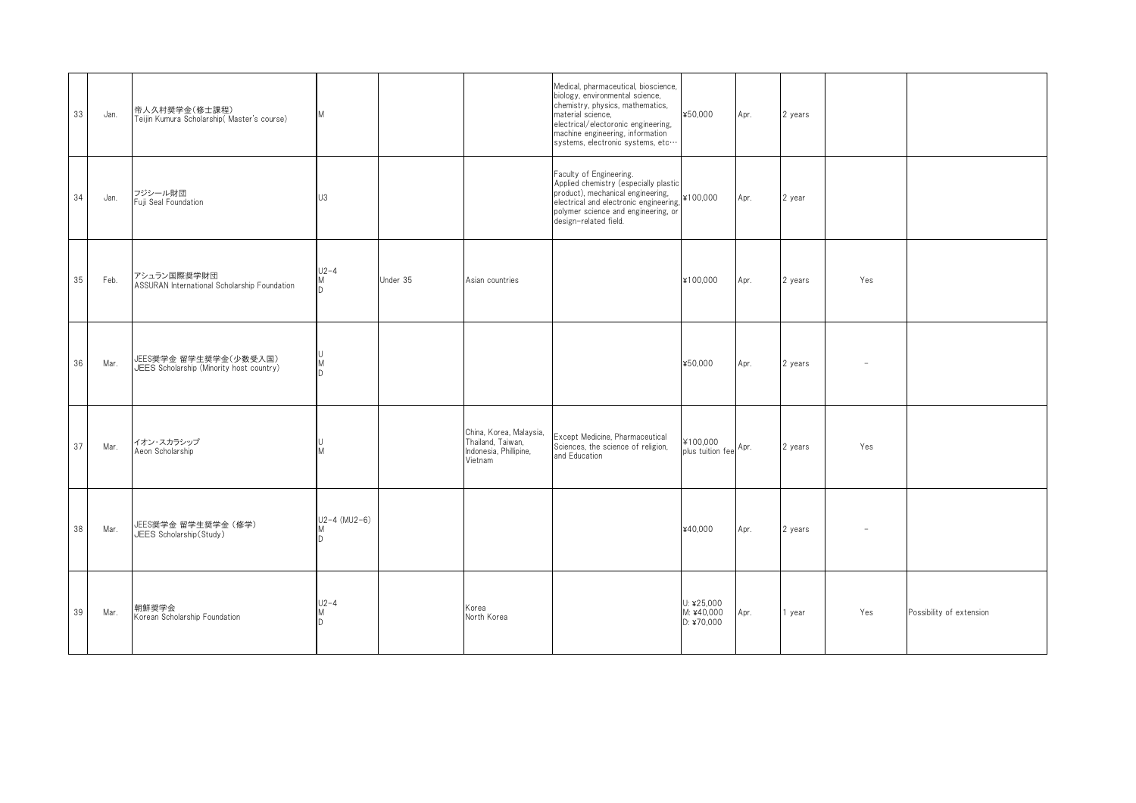| 33 | Jan. | 帝人久村奨学金(修士課程)<br>Teijin Kumura Scholarship (Master's course)      | M                     |          |                                                                                   | Medical, pharmaceutical, bioscience,<br>biology, environmental science,<br>chemistry, physics, mathematics,<br>material science,<br>electrical/electoronic engineering,<br>machine engineering, information<br>systems, electronic systems, etc | ¥50,000                                  | Apr. | 2 years |     |                          |
|----|------|-------------------------------------------------------------------|-----------------------|----------|-----------------------------------------------------------------------------------|-------------------------------------------------------------------------------------------------------------------------------------------------------------------------------------------------------------------------------------------------|------------------------------------------|------|---------|-----|--------------------------|
| 34 | Jan. | フジシール財団<br>Fuji Seal Foundation                                   | U3                    |          |                                                                                   | Faculty of Engineering.<br>Applied chemistry (especially plastic<br>product), mechanical engineering,<br>electrical and electronic engineering,<br>polymer science and engineering, or<br>design-related field.                                 | ¥100,000                                 | Apr. | 2 year  |     |                          |
| 35 | Feb. | アシュラン国際奨学財団<br>ASSURAN International Scholarship Foundation       | $U2-4$<br>Μ<br>D.     | Under 35 | Asian countries                                                                   |                                                                                                                                                                                                                                                 | ¥100,000                                 | Apr. | 2 years | Yes |                          |
| 36 | Mar. | JEES奨学金 留学生奨学金(少数受入国)<br>JEES Scholarship (Minority host country) | U<br>M<br>D           |          |                                                                                   |                                                                                                                                                                                                                                                 | ¥50,000                                  | Apr. | 2 years |     |                          |
| 37 | Mar. | イオン・スカラシップ<br>Aeon Scholarship                                    | M                     |          | China, Korea, Malaysia,<br>Thailand, Taiwan,<br>Indonesia, Phillipine,<br>Vietnam | Except Medicine, Pharmaceutical<br>Sciences, the science of religion,<br>and Education                                                                                                                                                          | ¥100,000<br>plus tuition fee Apr.        |      | 2 years | Yes |                          |
| 38 | Mar. | JEES奨学金 留学生奨学金(修学)<br>JEES Scholarship(Study)                     | $U2 - 4$ (MU2-6)<br>D |          |                                                                                   |                                                                                                                                                                                                                                                 | ¥40,000                                  | Apr. | 2 years |     |                          |
| 39 | Mar. | 朝鮮奨学会<br>Korean Scholarship Foundation                            | $U2-4$<br>M<br>D.     |          | Korea<br>North Korea                                                              |                                                                                                                                                                                                                                                 | U: $425,000$<br>M: ¥40,000<br>D: 470,000 | Apr. | 1 year  | Yes | Possibility of extension |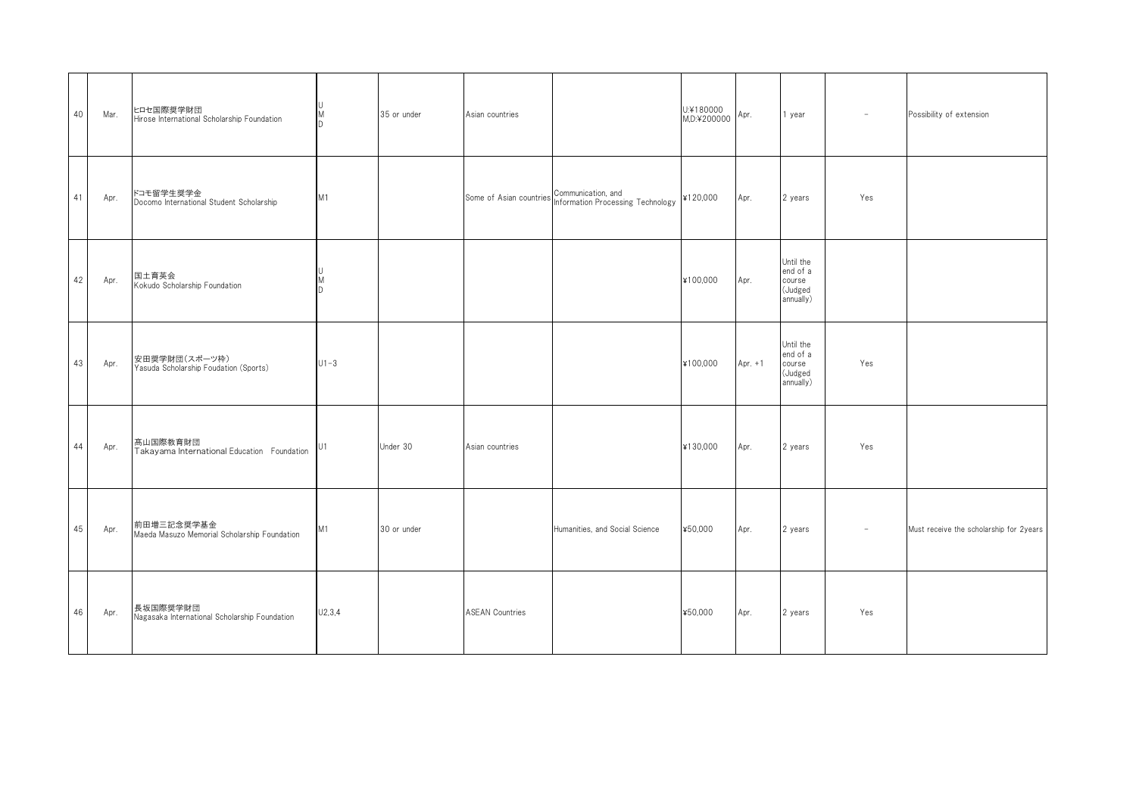| 40 | Mar. | ヒロセ国際奨学財団<br>Hirose International Scholarship Foundation   | M<br>ID.       | 35 or under | Asian countries        |                                                                                 | U:¥180000<br>$M.D.42000000$ Apr. |           | 1 year                                                  | $\overline{\phantom{a}}$ | Possibility of extension                |
|----|------|------------------------------------------------------------|----------------|-------------|------------------------|---------------------------------------------------------------------------------|----------------------------------|-----------|---------------------------------------------------------|--------------------------|-----------------------------------------|
| 41 | Apr. | ドコモ留学生奨学金<br>Docomo International Student Scholarship      | M <sub>1</sub> |             |                        | Some of Asian countries Communication, and<br>Information Processing Technology | ¥120,000                         | Apr.      | 2 years                                                 | Yes                      |                                         |
| 42 | Apr. | 国土育英会<br>Kokudo Scholarship Foundation                     | M<br>ID.       |             |                        |                                                                                 | ¥100,000                         | Apr.      | Until the<br>end of a<br>course<br>(Judged<br>annually) |                          |                                         |
| 43 | Apr. | 安田奨学財団(スポーツ枠)<br>Yasuda Scholarship Foudation (Sports)     | $U1 - 3$       |             |                        |                                                                                 | ¥100,000                         | Apr. $+1$ | Until the<br>end of a<br>course<br>(Judged<br>annually) | Yes                      |                                         |
| 44 | Apr. | 髙山国際教育財団<br>Takayama International Education Foundation    | U1             | Under 30    | Asian countries        |                                                                                 | ¥130,000                         | Apr.      | 2 years                                                 | Yes                      |                                         |
| 45 | Apr. | 前田増三記念奨学基金<br>Maeda Masuzo Memorial Scholarship Foundation | M1             | 30 or under |                        | Humanities, and Social Science                                                  | ¥50,000                          | Apr.      | 2 years                                                 |                          | Must receive the scholarship for 2years |
| 46 | Apr. | 長坂国際奨学財団<br>Nagasaka International Scholarship Foundation  | U2, 3, 4       |             | <b>ASEAN Countries</b> |                                                                                 | ¥50,000                          | Apr.      | 2 years                                                 | Yes                      |                                         |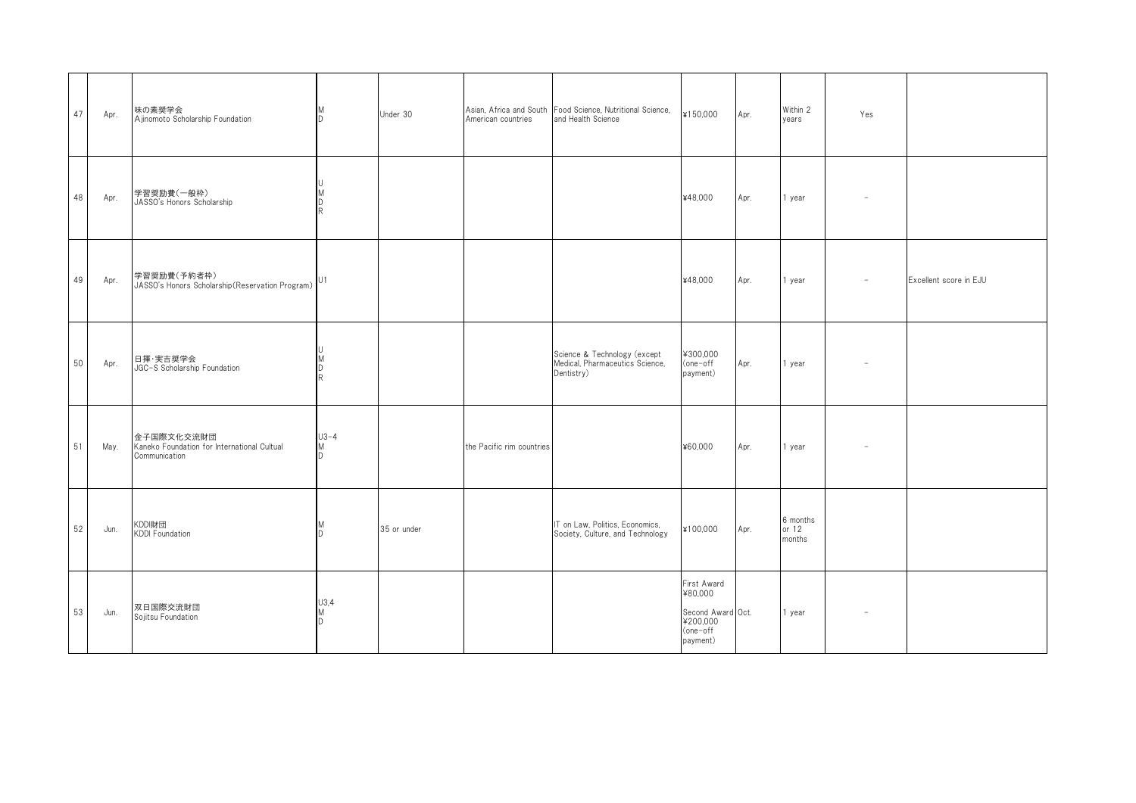| 47 | Apr. | 味の素奨学会<br>Ajinomoto Scholarship Foundation                                 | M<br>ID.             | Under 30    | American countries        | Asian, Africa and South Food Science, Nutritional Science,<br>and Health Science | ¥150,000                                                                        | Apr. | Within 2<br>years           | Yes                      |                        |
|----|------|----------------------------------------------------------------------------|----------------------|-------------|---------------------------|----------------------------------------------------------------------------------|---------------------------------------------------------------------------------|------|-----------------------------|--------------------------|------------------------|
| 48 | Apr. | 学習奨励費(一般枠)<br>JASSO's Honors Scholarship                                   | M<br>D<br>R          |             |                           |                                                                                  | ¥48,000                                                                         | Apr. | 1 year                      |                          |                        |
| 49 | Apr. | 学習奨励費(予約者枠)<br>JASSO's Honors Scholarship (Reservation Program) U1         |                      |             |                           |                                                                                  | ¥48,000                                                                         | Apr. | 1 year                      | $\overline{\phantom{a}}$ | Excellent score in EJU |
| 50 | Apr. | 日揮·実吉奨学会<br>JGC-S Scholarship Foundation                                   | M<br>D<br>R          |             |                           | Science & Technology (except<br>Medical, Pharmaceutics Science,<br>Dentistry)    | ¥300,000<br>(one-off<br>payment)                                                | Apr. | 1 year                      |                          |                        |
| 51 | May. | 金子国際文化交流財団<br>Kaneko Foundation for International Cultual<br>Communication | $U3 - 4$<br>M<br>ID. |             | the Pacific rim countries |                                                                                  | ¥60,000                                                                         | Apr. | 1 year                      | $\overline{\phantom{a}}$ |                        |
| 52 | Jun. | KDDl財団<br>KDDI Foundation                                                  | M<br>ID.             | 35 or under |                           | IT on Law, Politics, Economics,<br>Society, Culture, and Technology              | ¥100,000                                                                        | Apr. | 6 months<br>or 12<br>months |                          |                        |
| 53 | Jun. | 双日国際交流財団<br>Sojitsu Foundation                                             | U3,4<br>M<br>D       |             |                           |                                                                                  | First Award<br>¥80,000<br>Second Award Oct.<br>¥200,000<br>(one-off<br>payment) |      | 1 year                      | $\overline{\phantom{a}}$ |                        |